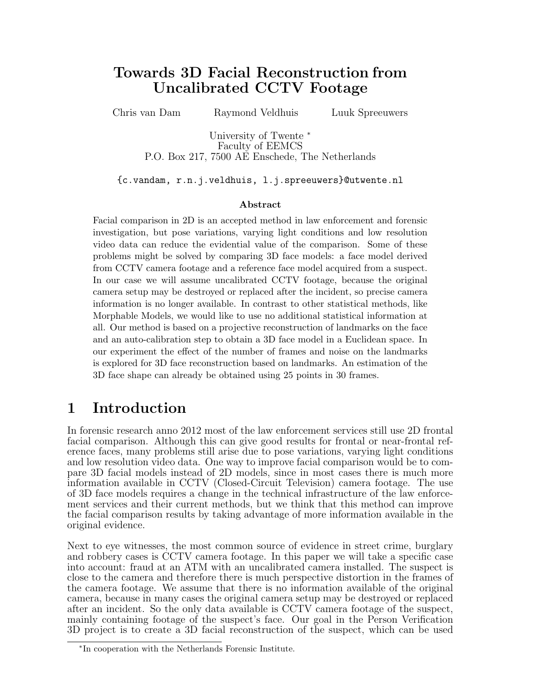# Towards 3D Facial Reconstruction from Uncalibrated CCTV Footage

Chris van Dam Raymond Veldhuis Luuk Spreeuwers

University of Twente <sup>∗</sup> Faculty of EEMCS P.O. Box 217, 7500 AE Enschede, The Netherlands

{c.vandam, r.n.j.veldhuis, l.j.spreeuwers}@utwente.nl

#### Abstract

Facial comparison in 2D is an accepted method in law enforcement and forensic investigation, but pose variations, varying light conditions and low resolution video data can reduce the evidential value of the comparison. Some of these problems might be solved by comparing 3D face models: a face model derived from CCTV camera footage and a reference face model acquired from a suspect. In our case we will assume uncalibrated CCTV footage, because the original camera setup may be destroyed or replaced after the incident, so precise camera information is no longer available. In contrast to other statistical methods, like Morphable Models, we would like to use no additional statistical information at all. Our method is based on a projective reconstruction of landmarks on the face and an auto-calibration step to obtain a 3D face model in a Euclidean space. In our experiment the effect of the number of frames and noise on the landmarks is explored for 3D face reconstruction based on landmarks. An estimation of the 3D face shape can already be obtained using 25 points in 30 frames.

# 1 Introduction

In forensic research anno 2012 most of the law enforcement services still use 2D frontal facial comparison. Although this can give good results for frontal or near-frontal reference faces, many problems still arise due to pose variations, varying light conditions and low resolution video data. One way to improve facial comparison would be to compare 3D facial models instead of 2D models, since in most cases there is much more information available in CCTV (Closed-Circuit Television) camera footage. The use of 3D face models requires a change in the technical infrastructure of the law enforcement services and their current methods, but we think that this method can improve the facial comparison results by taking advantage of more information available in the original evidence.

Next to eye witnesses, the most common source of evidence in street crime, burglary and robbery cases is CCTV camera footage. In this paper we will take a specific case into account: fraud at an ATM with an uncalibrated camera installed. The suspect is close to the camera and therefore there is much perspective distortion in the frames of the camera footage. We assume that there is no information available of the original camera, because in many cases the original camera setup may be destroyed or replaced after an incident. So the only data available is CCTV camera footage of the suspect, mainly containing footage of the suspect's face. Our goal in the Person Verification 3D project is to create a 3D facial reconstruction of the suspect, which can be used

<sup>∗</sup> In cooperation with the Netherlands Forensic Institute.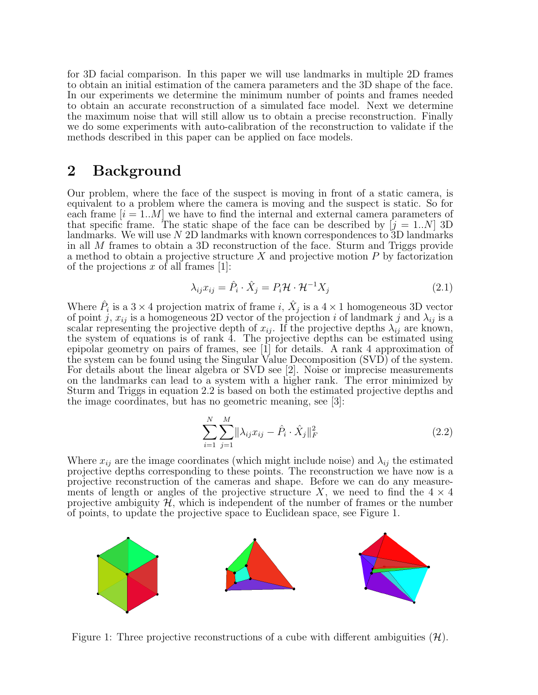for 3D facial comparison. In this paper we will use landmarks in multiple 2D frames to obtain an initial estimation of the camera parameters and the 3D shape of the face. In our experiments we determine the minimum number of points and frames needed to obtain an accurate reconstruction of a simulated face model. Next we determine the maximum noise that will still allow us to obtain a precise reconstruction. Finally we do some experiments with auto-calibration of the reconstruction to validate if the methods described in this paper can be applied on face models.

## 2 Background

Our problem, where the face of the suspect is moving in front of a static camera, is equivalent to a problem where the camera is moving and the suspect is static. So for each frame  $[i = 1..M]$  we have to find the internal and external camera parameters of that specific frame. The static shape of the face can be described by  $[j = 1..N]$  3D landmarks. We will use N 2D landmarks with known correspondences to 3D landmarks in all M frames to obtain a 3D reconstruction of the face. Sturm and Triggs provide a method to obtain a projective structure  $X$  and projective motion  $P$  by factorization of the projections x of all frames  $[1]$ :

$$
\lambda_{ij} x_{ij} = \hat{P}_i \cdot \hat{X}_j = P_i \mathcal{H} \cdot \mathcal{H}^{-1} X_j \tag{2.1}
$$

Where  $\hat{P}_i$  is a  $3 \times 4$  projection matrix of frame i,  $\hat{X}_j$  is a  $4 \times 1$  homogeneous 3D vector of point j,  $x_{ij}$  is a homogeneous 2D vector of the projection i of landmark j and  $\lambda_{ij}$  is a scalar representing the projective depth of  $x_{ij}$ . If the projective depths  $\lambda_{ij}$  are known, the system of equations is of rank 4. The projective depths can be estimated using epipolar geometry on pairs of frames, see [1] for details. A rank 4 approximation of the system can be found using the Singular Value Decomposition (SVD) of the system. For details about the linear algebra or SVD see [2]. Noise or imprecise measurements on the landmarks can lead to a system with a higher rank. The error minimized by Sturm and Triggs in equation 2.2 is based on both the estimated projective depths and the image coordinates, but has no geometric meaning, see [3]:

$$
\sum_{i=1}^{N} \sum_{j=1}^{M} ||\lambda_{ij} x_{ij} - \hat{P}_i \cdot \hat{X}_j||_F^2
$$
 (2.2)

Where  $x_{ij}$  are the image coordinates (which might include noise) and  $\lambda_{ij}$  the estimated projective depths corresponding to these points. The reconstruction we have now is a projective reconstruction of the cameras and shape. Before we can do any measurements of length or angles of the projective structure X, we need to find the  $4 \times 4$ projective ambiguity  $H$ , which is independent of the number of frames or the number of points, to update the projective space to Euclidean space, see Figure 1.



Figure 1: Three projective reconstructions of a cube with different ambiguities  $(\mathcal{H})$ .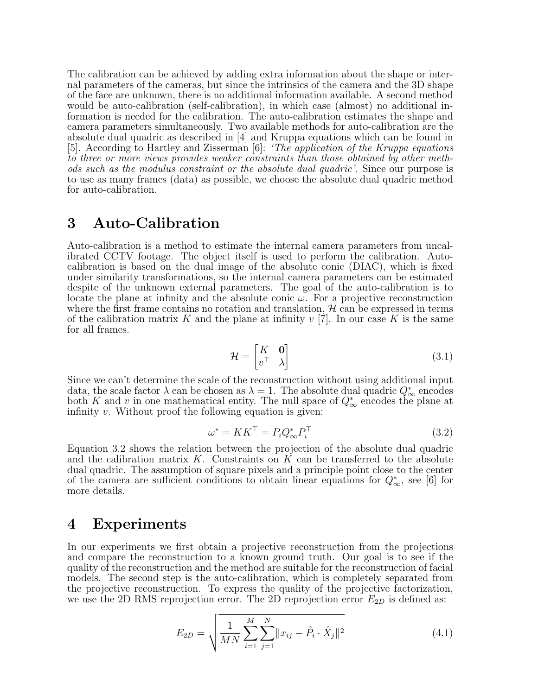The calibration can be achieved by adding extra information about the shape or internal parameters of the cameras, but since the intrinsics of the camera and the 3D shape of the face are unknown, there is no additional information available. A second method would be auto-calibration (self-calibration), in which case (almost) no additional information is needed for the calibration. The auto-calibration estimates the shape and camera parameters simultaneously. Two available methods for auto-calibration are the absolute dual quadric as described in [4] and Kruppa equations which can be found in [5]. According to Hartley and Zisserman [6]: 'The application of the Kruppa equations to three or more views provides weaker constraints than those obtained by other methods such as the modulus constraint or the absolute dual quadric'. Since our purpose is to use as many frames (data) as possible, we choose the absolute dual quadric method for auto-calibration.

### 3 Auto-Calibration

Auto-calibration is a method to estimate the internal camera parameters from uncalibrated CCTV footage. The object itself is used to perform the calibration. Autocalibration is based on the dual image of the absolute conic (DIAC), which is fixed under similarity transformations, so the internal camera parameters can be estimated despite of the unknown external parameters. The goal of the auto-calibration is to locate the plane at infinity and the absolute conic  $\omega$ . For a projective reconstruction where the first frame contains no rotation and translation,  $\mathcal{H}$  can be expressed in terms of the calibration matrix K and the plane at infinity  $v$  [7]. In our case K is the same for all frames.

$$
\mathcal{H} = \begin{bmatrix} K & \mathbf{0} \\ v^{\top} & \lambda \end{bmatrix} \tag{3.1}
$$

Since we can't determine the scale of the reconstruction without using additional input data, the scale factor  $\lambda$  can be chosen as  $\lambda = 1$ . The absolute dual quadric  $Q^*_{\infty}$  encodes both K and v in one mathematical entity. The null space of  $Q^*_{\infty}$  encodes the plane at infinity  $v$ . Without proof the following equation is given:

$$
\omega^* = KK^\top = P_i Q_\infty^* P_i^\top \tag{3.2}
$$

Equation 3.2 shows the relation between the projection of the absolute dual quadric and the calibration matrix  $K$ . Constraints on  $K$  can be transferred to the absolute dual quadric. The assumption of square pixels and a principle point close to the center of the camera are sufficient conditions to obtain linear equations for  $Q^*_{\infty}$ , see [6] for more details.

## 4 Experiments

In our experiments we first obtain a projective reconstruction from the projections and compare the reconstruction to a known ground truth. Our goal is to see if the quality of the reconstruction and the method are suitable for the reconstruction of facial models. The second step is the auto-calibration, which is completely separated from the projective reconstruction. To express the quality of the projective factorization, we use the 2D RMS reprojection error. The 2D reprojection error  $E_{2D}$  is defined as:

$$
E_{2D} = \sqrt{\frac{1}{MN} \sum_{i=1}^{M} \sum_{j=1}^{N} ||x_{ij} - \hat{P}_i \cdot \hat{X}_j||^2}
$$
(4.1)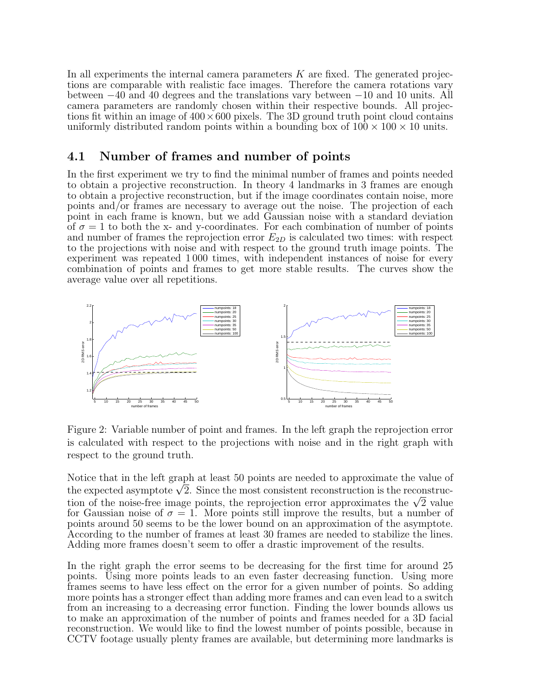In all experiments the internal camera parameters  $K$  are fixed. The generated projections are comparable with realistic face images. Therefore the camera rotations vary between −40 and 40 degrees and the translations vary between −10 and 10 units. All camera parameters are randomly chosen within their respective bounds. All projections fit within an image of  $400 \times 600$  pixels. The 3D ground truth point cloud contains uniformly distributed random points within a bounding box of  $100 \times 100 \times 10$  units.

### 4.1 Number of frames and number of points

In the first experiment we try to find the minimal number of frames and points needed to obtain a projective reconstruction. In theory 4 landmarks in 3 frames are enough to obtain a projective reconstruction, but if the image coordinates contain noise, more points and/or frames are necessary to average out the noise. The projection of each point in each frame is known, but we add Gaussian noise with a standard deviation of  $\sigma = 1$  to both the x- and y-coordinates. For each combination of number of points and number of frames the reprojection error  $E_{2D}$  is calculated two times: with respect to the projections with noise and with respect to the ground truth image points. The experiment was repeated 1 000 times, with independent instances of noise for every combination of points and frames to get more stable results. The curves show the average value over all repetitions.



Figure 2: Variable number of point and frames. In the left graph the reprojection error is calculated with respect to the projections with noise and in the right graph with respect to the ground truth.

Notice that in the left graph at least 50 points are needed to approximate the value of Notice that in the left graph at least 50 points are needed to approximate the value of the expected asymptote  $\sqrt{2}.$  Since the most consistent reconstruction is the reconstructhe expected asymptote  $\sqrt{2}$ . Since the most consistent reconstruction is the reconstruction of the noise-free image points, the reprojection error approximates the  $\sqrt{2}$  value for Gaussian noise of  $\sigma = 1$ . More points still improve the results, but a number of points around 50 seems to be the lower bound on an approximation of the asymptote. According to the number of frames at least 30 frames are needed to stabilize the lines. Adding more frames doesn't seem to offer a drastic improvement of the results.

In the right graph the error seems to be decreasing for the first time for around 25 points. Using more points leads to an even faster decreasing function. Using more frames seems to have less effect on the error for a given number of points. So adding more points has a stronger effect than adding more frames and can even lead to a switch from an increasing to a decreasing error function. Finding the lower bounds allows us to make an approximation of the number of points and frames needed for a 3D facial reconstruction. We would like to find the lowest number of points possible, because in CCTV footage usually plenty frames are available, but determining more landmarks is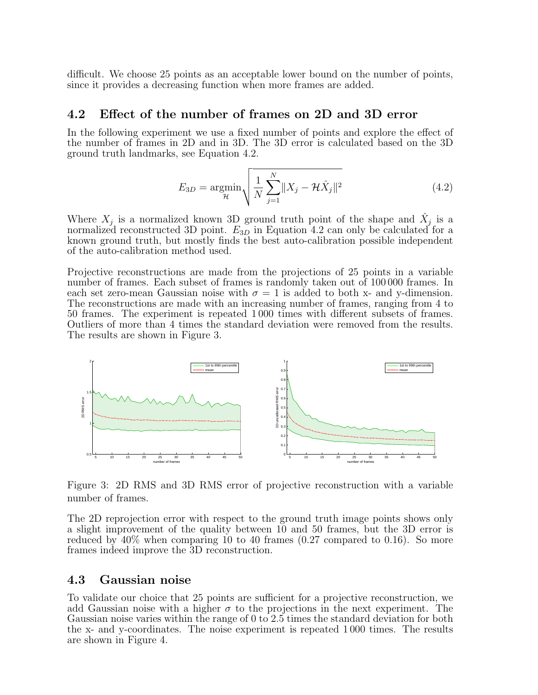difficult. We choose 25 points as an acceptable lower bound on the number of points, since it provides a decreasing function when more frames are added.

#### 4.2 Effect of the number of frames on 2D and 3D error

In the following experiment we use a fixed number of points and explore the effect of the number of frames in 2D and in 3D. The 3D error is calculated based on the 3D ground truth landmarks, see Equation 4.2.

$$
E_{3D} = \underset{\mathcal{H}}{\text{argmin}} \sqrt{\frac{1}{N} \sum_{j=1}^{N} ||X_j - \mathcal{H}\hat{X}_j||^2}
$$
(4.2)

Where  $X_j$  is a normalized known 3D ground truth point of the shape and  $\hat{X}_j$  is a normalized reconstructed 3D point.  $E_{3D}$  in Equation 4.2 can only be calculated for a known ground truth, but mostly finds the best auto-calibration possible independent of the auto-calibration method used.

Projective reconstructions are made from the projections of 25 points in a variable number of frames. Each subset of frames is randomly taken out of 100 000 frames. In each set zero-mean Gaussian noise with  $\sigma = 1$  is added to both x- and y-dimension. The reconstructions are made with an increasing number of frames, ranging from 4 to 50 frames. The experiment is repeated 1 000 times with different subsets of frames. Outliers of more than 4 times the standard deviation were removed from the results. The results are shown in Figure 3.



Figure 3: 2D RMS and 3D RMS error of projective reconstruction with a variable number of frames.

The 2D reprojection error with respect to the ground truth image points shows only a slight improvement of the quality between 10 and 50 frames, but the 3D error is reduced by 40% when comparing 10 to 40 frames (0.27 compared to 0.16). So more frames indeed improve the 3D reconstruction.

#### 4.3 Gaussian noise

To validate our choice that 25 points are sufficient for a projective reconstruction, we add Gaussian noise with a higher  $\sigma$  to the projections in the next experiment. The Gaussian noise varies within the range of 0 to 2.5 times the standard deviation for both the x- and y-coordinates. The noise experiment is repeated 1 000 times. The results are shown in Figure 4.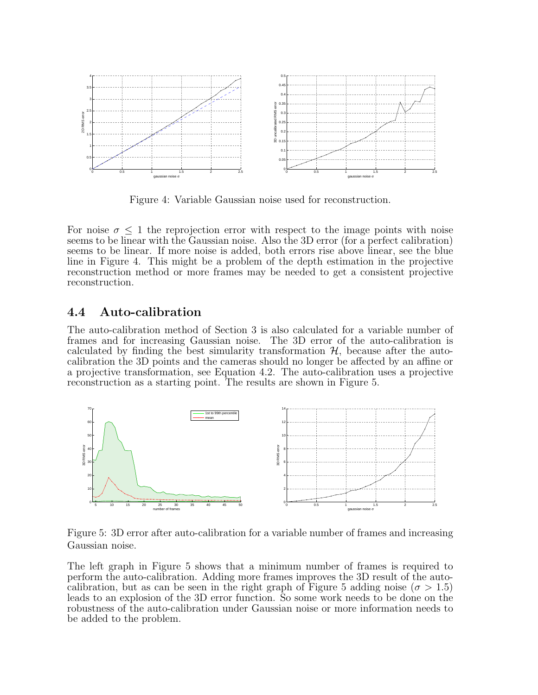

Figure 4: Variable Gaussian noise used for reconstruction.

For noise  $\sigma \leq 1$  the reprojection error with respect to the image points with noise seems to be linear with the Gaussian noise. Also the 3D error (for a perfect calibration) seems to be linear. If more noise is added, both errors rise above linear, see the blue line in Figure 4. This might be a problem of the depth estimation in the projective reconstruction method or more frames may be needed to get a consistent projective reconstruction.

### 4.4 Auto-calibration

The auto-calibration method of Section 3 is also calculated for a variable number of frames and for increasing Gaussian noise. The 3D error of the auto-calibration is calculated by finding the best simularity transformation  $H$ , because after the autocalibration the 3D points and the cameras should no longer be affected by an affine or a projective transformation, see Equation 4.2. The auto-calibration uses a projective reconstruction as a starting point. The results are shown in Figure 5.



Figure 5: 3D error after auto-calibration for a variable number of frames and increasing Gaussian noise.

The left graph in Figure 5 shows that a minimum number of frames is required to perform the auto-calibration. Adding more frames improves the 3D result of the autocalibration, but as can be seen in the right graph of Figure 5 adding noise ( $\sigma > 1.5$ ) leads to an explosion of the 3D error function. So some work needs to be done on the robustness of the auto-calibration under Gaussian noise or more information needs to be added to the problem.